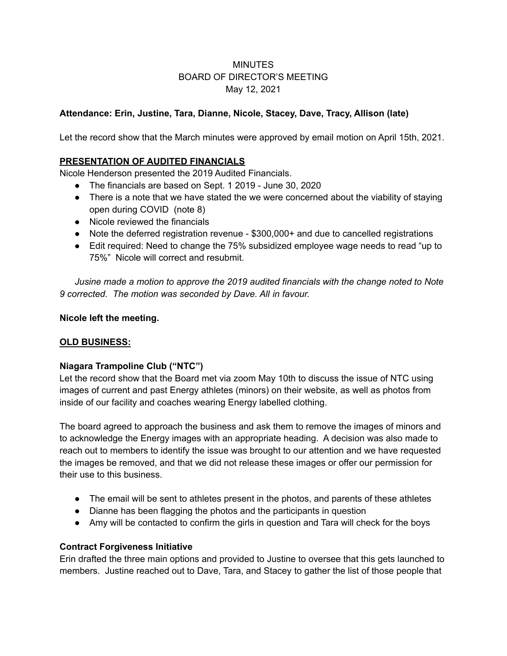# **MINUTES** BOARD OF DIRECTOR'S MEETING May 12, 2021

#### **Attendance: Erin, Justine, Tara, Dianne, Nicole, Stacey, Dave, Tracy, Allison (late)**

Let the record show that the March minutes were approved by email motion on April 15th, 2021.

#### **PRESENTATION OF AUDITED FINANCIALS**

Nicole Henderson presented the 2019 Audited Financials.

- The financials are based on Sept. 1 2019 June 30, 2020
- There is a note that we have stated the we were concerned about the viability of staying open during COVID (note 8)
- Nicole reviewed the financials
- Note the deferred registration revenue \$300,000+ and due to cancelled registrations
- Edit required: Need to change the 75% subsidized employee wage needs to read "up to 75%" Nicole will correct and resubmit.

*Jusine made a motion to approve the 2019 audited financials with the change noted to Note 9 corrected. The motion was seconded by Dave. All in favour.*

#### **Nicole left the meeting.**

#### **OLD BUSINESS:**

#### **Niagara Trampoline Club ("NTC")**

Let the record show that the Board met via zoom May 10th to discuss the issue of NTC using images of current and past Energy athletes (minors) on their website, as well as photos from inside of our facility and coaches wearing Energy labelled clothing.

The board agreed to approach the business and ask them to remove the images of minors and to acknowledge the Energy images with an appropriate heading. A decision was also made to reach out to members to identify the issue was brought to our attention and we have requested the images be removed, and that we did not release these images or offer our permission for their use to this business.

- The email will be sent to athletes present in the photos, and parents of these athletes
- Dianne has been flagging the photos and the participants in question
- Amy will be contacted to confirm the girls in question and Tara will check for the boys

#### **Contract Forgiveness Initiative**

Erin drafted the three main options and provided to Justine to oversee that this gets launched to members. Justine reached out to Dave, Tara, and Stacey to gather the list of those people that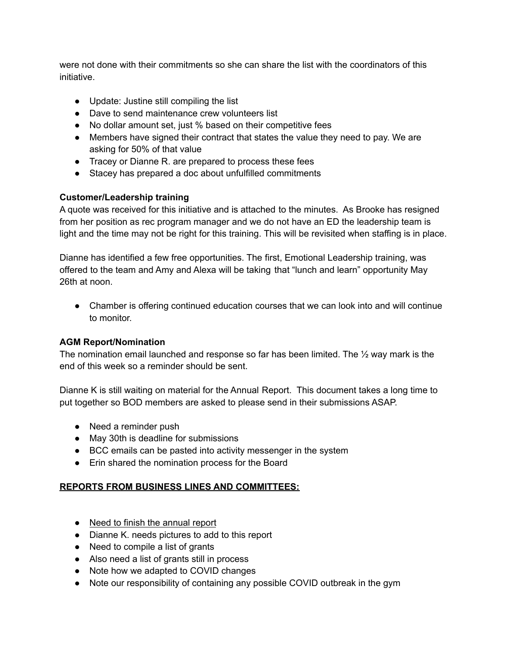were not done with their commitments so she can share the list with the coordinators of this initiative.

- Update: Justine still compiling the list
- Dave to send maintenance crew volunteers list
- No dollar amount set, just % based on their competitive fees
- Members have signed their contract that states the value they need to pay. We are asking for 50% of that value
- Tracey or Dianne R. are prepared to process these fees
- Stacey has prepared a doc about unfulfilled commitments

# **Customer/Leadership training**

A quote was received for this initiative and is attached to the minutes. As Brooke has resigned from her position as rec program manager and we do not have an ED the leadership team is light and the time may not be right for this training. This will be revisited when staffing is in place.

Dianne has identified a few free opportunities. The first, Emotional Leadership training, was offered to the team and Amy and Alexa will be taking that "lunch and learn" opportunity May 26th at noon.

• Chamber is offering continued education courses that we can look into and will continue to monitor.

# **AGM Report/Nomination**

The nomination email launched and response so far has been limited. The ½ way mark is the end of this week so a reminder should be sent.

Dianne K is still waiting on material for the Annual Report. This document takes a long time to put together so BOD members are asked to please send in their submissions ASAP.

- Need a reminder push
- May 30th is deadline for submissions
- BCC emails can be pasted into activity messenger in the system
- Erin shared the nomination process for the Board

# **REPORTS FROM BUSINESS LINES AND COMMITTEES:**

- Need to finish the annual report
- Dianne K. needs pictures to add to this report
- Need to compile a list of grants
- Also need a list of grants still in process
- Note how we adapted to COVID changes
- Note our responsibility of containing any possible COVID outbreak in the gym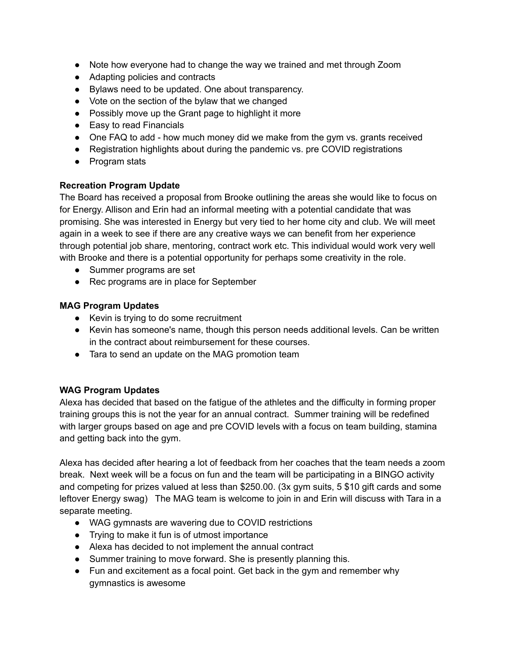- Note how everyone had to change the way we trained and met through Zoom
- Adapting policies and contracts
- Bylaws need to be updated. One about transparency.
- Vote on the section of the bylaw that we changed
- Possibly move up the Grant page to highlight it more
- Easy to read Financials
- One FAQ to add how much money did we make from the gym vs. grants received
- Registration highlights about during the pandemic vs. pre COVID registrations
- Program stats

# **Recreation Program Update**

The Board has received a proposal from Brooke outlining the areas she would like to focus on for Energy. Allison and Erin had an informal meeting with a potential candidate that was promising. She was interested in Energy but very tied to her home city and club. We will meet again in a week to see if there are any creative ways we can benefit from her experience through potential job share, mentoring, contract work etc. This individual would work very well with Brooke and there is a potential opportunity for perhaps some creativity in the role.

- Summer programs are set
- Rec programs are in place for September

# **MAG Program Updates**

- Kevin is trying to do some recruitment
- Kevin has someone's name, though this person needs additional levels. Can be written in the contract about reimbursement for these courses.
- Tara to send an update on the MAG promotion team

# **WAG Program Updates**

Alexa has decided that based on the fatigue of the athletes and the difficulty in forming proper training groups this is not the year for an annual contract. Summer training will be redefined with larger groups based on age and pre COVID levels with a focus on team building, stamina and getting back into the gym.

Alexa has decided after hearing a lot of feedback from her coaches that the team needs a zoom break. Next week will be a focus on fun and the team will be participating in a BINGO activity and competing for prizes valued at less than \$250.00. (3x gym suits, 5 \$10 gift cards and some leftover Energy swag) The MAG team is welcome to join in and Erin will discuss with Tara in a separate meeting.

- WAG gymnasts are wavering due to COVID restrictions
- Trying to make it fun is of utmost importance
- Alexa has decided to not implement the annual contract
- Summer training to move forward. She is presently planning this.
- Fun and excitement as a focal point. Get back in the gym and remember why gymnastics is awesome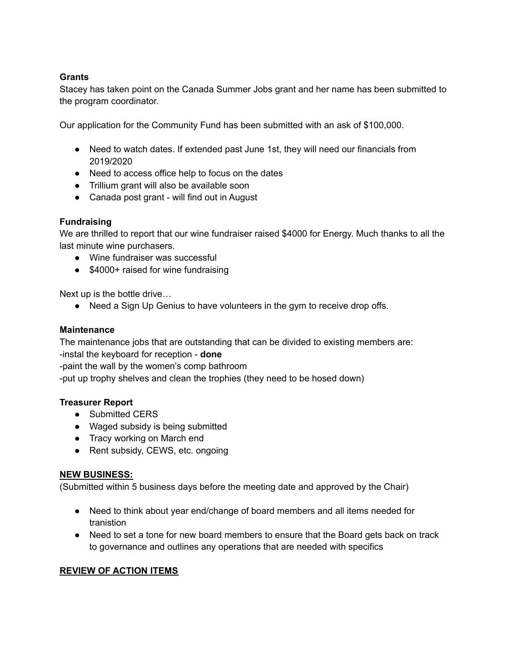#### **Grants**

Stacey has taken point on the Canada Summer Jobs grant and her name has been submitted to the program coordinator.

Our application for the Community Fund has been submitted with an ask of \$100,000.

- Need to watch dates. If extended past June 1st, they will need our financials from 2019/2020
- Need to access office help to focus on the dates
- Trillium grant will also be available soon
- Canada post grant will find out in August

# **Fundraising**

We are thrilled to report that our wine fundraiser raised \$4000 for Energy. Much thanks to all the last minute wine purchasers.

- Wine fundraiser was successful
- \$4000+ raised for wine fundraising

Next up is the bottle drive…

• Need a Sign Up Genius to have volunteers in the gym to receive drop offs.

#### **Maintenance**

The maintenance jobs that are outstanding that can be divided to existing members are: -instal the keyboard for reception - **done**

-paint the wall by the women's comp bathroom

-put up trophy shelves and clean the trophies (they need to be hosed down)

# **Treasurer Report**

- Submitted CERS
- Waged subsidy is being submitted
- Tracy working on March end
- Rent subsidy, CEWS, etc. ongoing

#### **NEW BUSINESS:**

(Submitted within 5 business days before the meeting date and approved by the Chair)

- Need to think about year end/change of board members and all items needed for tranistion
- Need to set a tone for new board members to ensure that the Board gets back on track to governance and outlines any operations that are needed with specifics

# **REVIEW OF ACTION ITEMS**